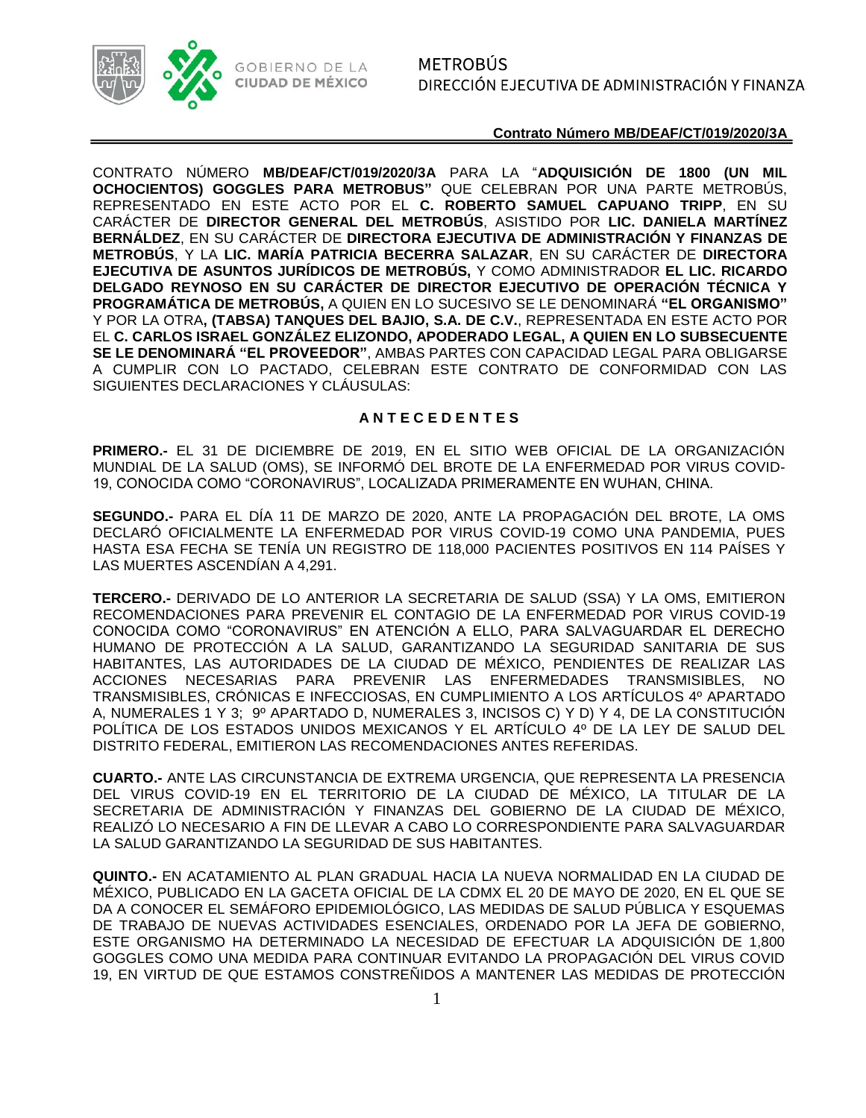

CONTRATO NÚMERO **MB/DEAF/CT/019/2020/3A** PARA LA "**ADQUISICIÓN DE 1800 (UN MIL OCHOCIENTOS) GOGGLES PARA METROBUS"** QUE CELEBRAN POR UNA PARTE METROBÚS, REPRESENTADO EN ESTE ACTO POR EL **C. ROBERTO SAMUEL CAPUANO TRIPP**, EN SU CARÁCTER DE **DIRECTOR GENERAL DEL METROBÚS**, ASISTIDO POR **LIC. DANIELA MARTÍNEZ BERNÁLDEZ**, EN SU CARÁCTER DE **DIRECTORA EJECUTIVA DE ADMINISTRACIÓN Y FINANZAS DE METROBÚS**, Y LA **LIC. MARÍA PATRICIA BECERRA SALAZAR**, EN SU CARÁCTER DE **DIRECTORA EJECUTIVA DE ASUNTOS JURÍDICOS DE METROBÚS,** Y COMO ADMINISTRADOR **EL LIC. RICARDO DELGADO REYNOSO EN SU CARÁCTER DE DIRECTOR EJECUTIVO DE OPERACIÓN TÉCNICA Y PROGRAMÁTICA DE METROBÚS,** A QUIEN EN LO SUCESIVO SE LE DENOMINARÁ **"EL ORGANISMO"** Y POR LA OTRA**, (TABSA) TANQUES DEL BAJIO, S.A. DE C.V.**, REPRESENTADA EN ESTE ACTO POR EL **C. CARLOS ISRAEL GONZÁLEZ ELIZONDO, APODERADO LEGAL, A QUIEN EN LO SUBSECUENTE SE LE DENOMINARÁ "EL PROVEEDOR"**, AMBAS PARTES CON CAPACIDAD LEGAL PARA OBLIGARSE A CUMPLIR CON LO PACTADO, CELEBRAN ESTE CONTRATO DE CONFORMIDAD CON LAS SIGUIENTES DECLARACIONES Y CLÁUSULAS:

## **A N T E C E D E N T E S**

**PRIMERO.-** EL 31 DE DICIEMBRE DE 2019, EN EL SITIO WEB OFICIAL DE LA ORGANIZACIÓN MUNDIAL DE LA SALUD (OMS), SE INFORMÓ DEL BROTE DE LA ENFERMEDAD POR VIRUS COVID-19, CONOCIDA COMO "CORONAVIRUS", LOCALIZADA PRIMERAMENTE EN WUHAN, CHINA.

**SEGUNDO.-** PARA EL DÍA 11 DE MARZO DE 2020, ANTE LA PROPAGACIÓN DEL BROTE, LA OMS DECLARÓ OFICIALMENTE LA ENFERMEDAD POR VIRUS COVID-19 COMO UNA PANDEMIA, PUES HASTA ESA FECHA SE TENÍA UN REGISTRO DE 118,000 PACIENTES POSITIVOS EN 114 PAÍSES Y LAS MUERTES ASCENDÍAN A 4,291.

**TERCERO.-** DERIVADO DE LO ANTERIOR LA SECRETARIA DE SALUD (SSA) Y LA OMS, EMITIERON RECOMENDACIONES PARA PREVENIR EL CONTAGIO DE LA ENFERMEDAD POR VIRUS COVID-19 CONOCIDA COMO "CORONAVIRUS" EN ATENCIÓN A ELLO, PARA SALVAGUARDAR EL DERECHO HUMANO DE PROTECCIÓN A LA SALUD, GARANTIZANDO LA SEGURIDAD SANITARIA DE SUS HABITANTES, LAS AUTORIDADES DE LA CIUDAD DE MÉXICO, PENDIENTES DE REALIZAR LAS ACCIONES NECESARIAS PARA PREVENIR LAS ENFERMEDADES TRANSMISIBLES, NO TRANSMISIBLES, CRÓNICAS E INFECCIOSAS, EN CUMPLIMIENTO A LOS ARTÍCULOS 4º APARTADO A, NUMERALES 1 Y 3; 9º APARTADO D, NUMERALES 3, INCISOS C) Y D) Y 4, DE LA CONSTITUCIÓN POLÍTICA DE LOS ESTADOS UNIDOS MEXICANOS Y EL ARTÍCULO 4º DE LA LEY DE SALUD DEL DISTRITO FEDERAL, EMITIERON LAS RECOMENDACIONES ANTES REFERIDAS.

**CUARTO.-** ANTE LAS CIRCUNSTANCIA DE EXTREMA URGENCIA, QUE REPRESENTA LA PRESENCIA DEL VIRUS COVID-19 EN EL TERRITORIO DE LA CIUDAD DE MÉXICO, LA TITULAR DE LA SECRETARIA DE ADMINISTRACIÓN Y FINANZAS DEL GOBIERNO DE LA CIUDAD DE MÉXICO, REALIZÓ LO NECESARIO A FIN DE LLEVAR A CABO LO CORRESPONDIENTE PARA SALVAGUARDAR LA SALUD GARANTIZANDO LA SEGURIDAD DE SUS HABITANTES.

**QUINTO.-** EN ACATAMIENTO AL PLAN GRADUAL HACIA LA NUEVA NORMALIDAD EN LA CIUDAD DE MÉXICO, PUBLICADO EN LA GACETA OFICIAL DE LA CDMX EL 20 DE MAYO DE 2020, EN EL QUE SE DA A CONOCER EL SEMÁFORO EPIDEMIOLÓGICO, LAS MEDIDAS DE SALUD PÚBLICA Y ESQUEMAS DE TRABAJO DE NUEVAS ACTIVIDADES ESENCIALES, ORDENADO POR LA JEFA DE GOBIERNO, ESTE ORGANISMO HA DETERMINADO LA NECESIDAD DE EFECTUAR LA ADQUISICIÓN DE 1,800 GOGGLES COMO UNA MEDIDA PARA CONTINUAR EVITANDO LA PROPAGACIÓN DEL VIRUS COVID 19, EN VIRTUD DE QUE ESTAMOS CONSTREÑIDOS A MANTENER LAS MEDIDAS DE PROTECCIÓN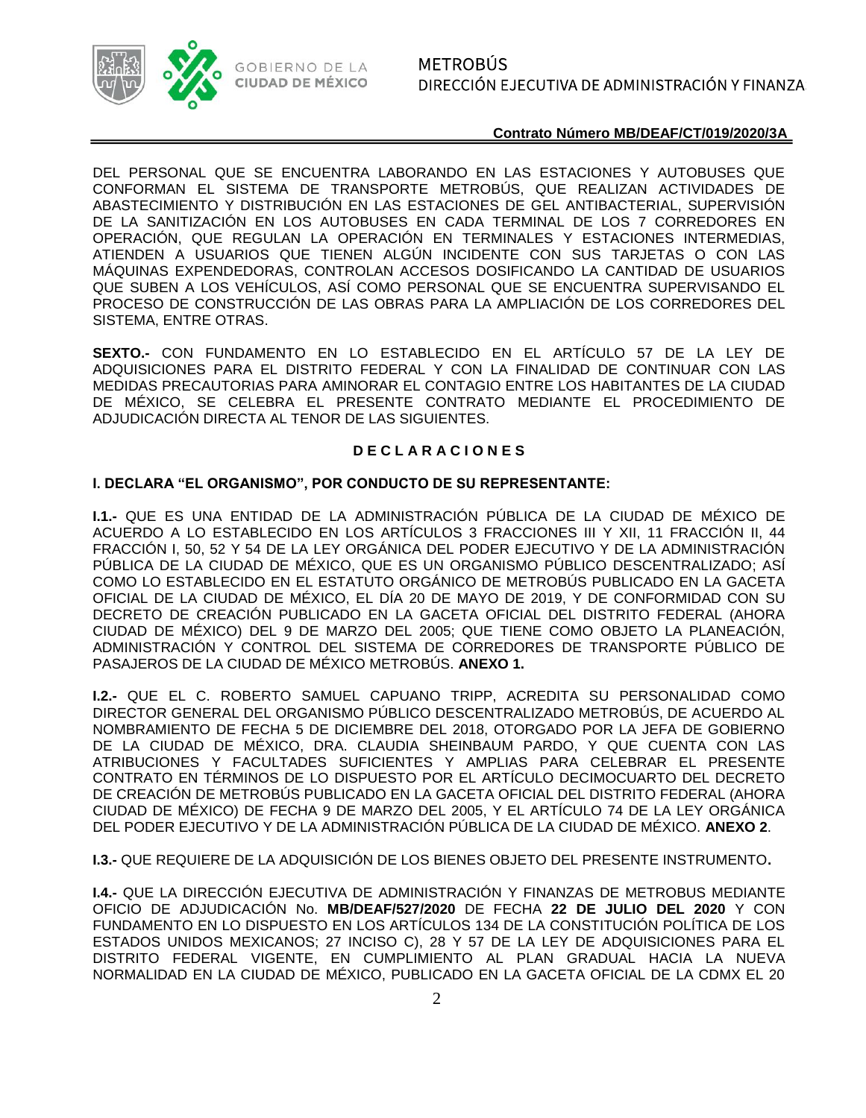

DEL PERSONAL QUE SE ENCUENTRA LABORANDO EN LAS ESTACIONES Y AUTOBUSES QUE CONFORMAN EL SISTEMA DE TRANSPORTE METROBÚS, QUE REALIZAN ACTIVIDADES DE ABASTECIMIENTO Y DISTRIBUCIÓN EN LAS ESTACIONES DE GEL ANTIBACTERIAL, SUPERVISIÓN DE LA SANITIZACIÓN EN LOS AUTOBUSES EN CADA TERMINAL DE LOS 7 CORREDORES EN OPERACIÓN, QUE REGULAN LA OPERACIÓN EN TERMINALES Y ESTACIONES INTERMEDIAS, ATIENDEN A USUARIOS QUE TIENEN ALGÚN INCIDENTE CON SUS TARJETAS O CON LAS MÁQUINAS EXPENDEDORAS, CONTROLAN ACCESOS DOSIFICANDO LA CANTIDAD DE USUARIOS QUE SUBEN A LOS VEHÍCULOS, ASÍ COMO PERSONAL QUE SE ENCUENTRA SUPERVISANDO EL PROCESO DE CONSTRUCCIÓN DE LAS OBRAS PARA LA AMPLIACIÓN DE LOS CORREDORES DEL SISTEMA, ENTRE OTRAS.

**SEXTO.-** CON FUNDAMENTO EN LO ESTABLECIDO EN EL ARTÍCULO 57 DE LA LEY DE ADQUISICIONES PARA EL DISTRITO FEDERAL Y CON LA FINALIDAD DE CONTINUAR CON LAS MEDIDAS PRECAUTORIAS PARA AMINORAR EL CONTAGIO ENTRE LOS HABITANTES DE LA CIUDAD DE MÉXICO, SE CELEBRA EL PRESENTE CONTRATO MEDIANTE EL PROCEDIMIENTO DE ADJUDICACIÓN DIRECTA AL TENOR DE LAS SIGUIENTES.

## **D E C L A R A C I O N E S**

## **I. DECLARA "EL ORGANISMO", POR CONDUCTO DE SU REPRESENTANTE:**

**I.1.-** QUE ES UNA ENTIDAD DE LA ADMINISTRACIÓN PÚBLICA DE LA CIUDAD DE MÉXICO DE ACUERDO A LO ESTABLECIDO EN LOS ARTÍCULOS 3 FRACCIONES III Y XII, 11 FRACCIÓN II, 44 FRACCIÓN I, 50, 52 Y 54 DE LA LEY ORGÁNICA DEL PODER EJECUTIVO Y DE LA ADMINISTRACIÓN PÚBLICA DE LA CIUDAD DE MÉXICO, QUE ES UN ORGANISMO PÚBLICO DESCENTRALIZADO; ASÍ COMO LO ESTABLECIDO EN EL ESTATUTO ORGÁNICO DE METROBÚS PUBLICADO EN LA GACETA OFICIAL DE LA CIUDAD DE MÉXICO, EL DÍA 20 DE MAYO DE 2019, Y DE CONFORMIDAD CON SU DECRETO DE CREACIÓN PUBLICADO EN LA GACETA OFICIAL DEL DISTRITO FEDERAL (AHORA CIUDAD DE MÉXICO) DEL 9 DE MARZO DEL 2005; QUE TIENE COMO OBJETO LA PLANEACIÓN, ADMINISTRACIÓN Y CONTROL DEL SISTEMA DE CORREDORES DE TRANSPORTE PÚBLICO DE PASAJEROS DE LA CIUDAD DE MÉXICO METROBÚS. **ANEXO 1.**

**I.2.-** QUE EL C. ROBERTO SAMUEL CAPUANO TRIPP, ACREDITA SU PERSONALIDAD COMO DIRECTOR GENERAL DEL ORGANISMO PÚBLICO DESCENTRALIZADO METROBÚS, DE ACUERDO AL NOMBRAMIENTO DE FECHA 5 DE DICIEMBRE DEL 2018, OTORGADO POR LA JEFA DE GOBIERNO DE LA CIUDAD DE MÉXICO, DRA. CLAUDIA SHEINBAUM PARDO, Y QUE CUENTA CON LAS ATRIBUCIONES Y FACULTADES SUFICIENTES Y AMPLIAS PARA CELEBRAR EL PRESENTE CONTRATO EN TÉRMINOS DE LO DISPUESTO POR EL ARTÍCULO DECIMOCUARTO DEL DECRETO DE CREACIÓN DE METROBÚS PUBLICADO EN LA GACETA OFICIAL DEL DISTRITO FEDERAL (AHORA CIUDAD DE MÉXICO) DE FECHA 9 DE MARZO DEL 2005, Y EL ARTÍCULO 74 DE LA LEY ORGÁNICA DEL PODER EJECUTIVO Y DE LA ADMINISTRACIÓN PÚBLICA DE LA CIUDAD DE MÉXICO. **ANEXO 2**.

**I.3.-** QUE REQUIERE DE LA ADQUISICIÓN DE LOS BIENES OBJETO DEL PRESENTE INSTRUMENTO**.**

**I.4.-** QUE LA DIRECCIÓN EJECUTIVA DE ADMINISTRACIÓN Y FINANZAS DE METROBUS MEDIANTE OFICIO DE ADJUDICACIÓN No. **MB/DEAF/527/2020** DE FECHA **22 DE JULIO DEL 2020** Y CON FUNDAMENTO EN LO DISPUESTO EN LOS ARTÍCULOS 134 DE LA CONSTITUCIÓN POLÍTICA DE LOS ESTADOS UNIDOS MEXICANOS; 27 INCISO C), 28 Y 57 DE LA LEY DE ADQUISICIONES PARA EL DISTRITO FEDERAL VIGENTE, EN CUMPLIMIENTO AL PLAN GRADUAL HACIA LA NUEVA NORMALIDAD EN LA CIUDAD DE MÉXICO, PUBLICADO EN LA GACETA OFICIAL DE LA CDMX EL 20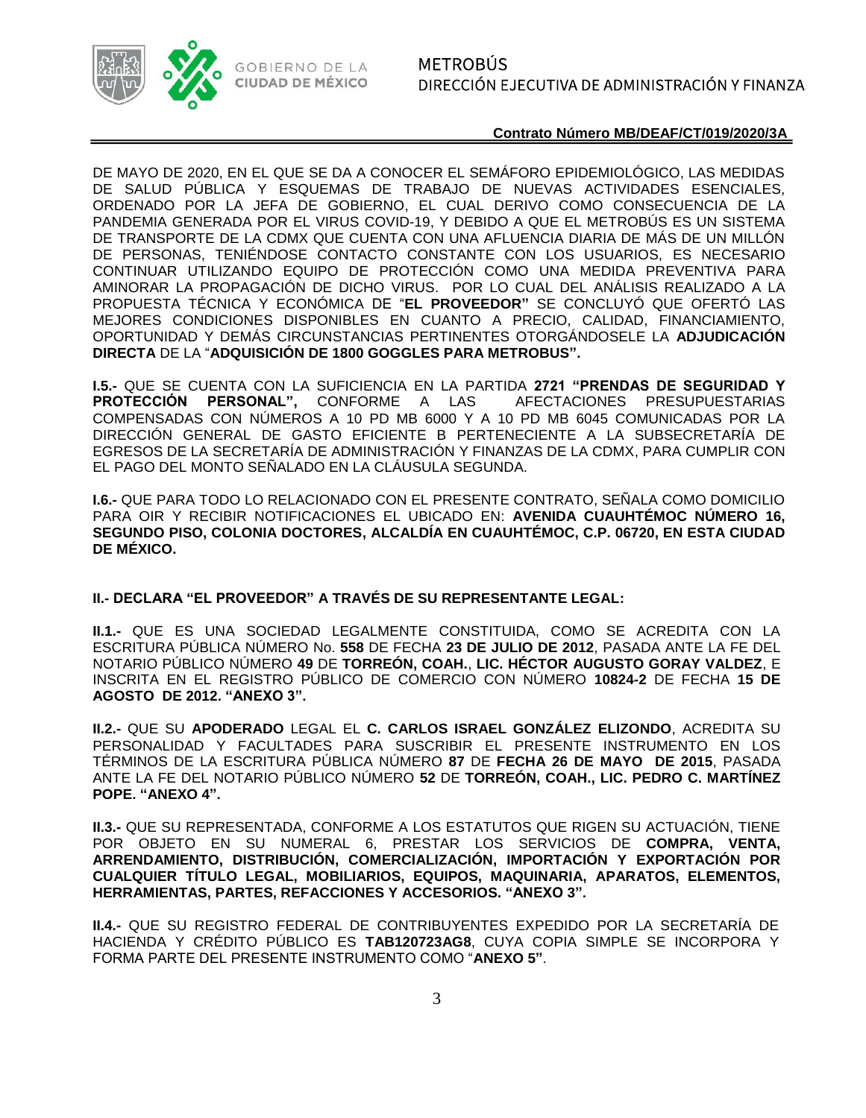

DE MAYO DE 2020, EN EL QUE SE DA A CONOCER EL SEMÁFORO EPIDEMIOLÓGICO, LAS MEDIDAS DE SALUD PÚBLICA Y ESQUEMAS DE TRABAJO DE NUEVAS ACTIVIDADES ESENCIALES, ORDENADO POR LA JEFA DE GOBIERNO, EL CUAL DERIVO COMO CONSECUENCIA DE LA PANDEMIA GENERADA POR EL VIRUS COVID-19, Y DEBIDO A QUE EL METROBÚS ES UN SISTEMA DE TRANSPORTE DE LA CDMX QUE CUENTA CON UNA AFLUENCIA DIARIA DE MÁS DE UN MILLÓN DE PERSONAS, TENIÉNDOSE CONTACTO CONSTANTE CON LOS USUARIOS, ES NECESARIO CONTINUAR UTILIZANDO EQUIPO DE PROTECCIÓN COMO UNA MEDIDA PREVENTIVA PARA AMINORAR LA PROPAGACIÓN DE DICHO VIRUS. POR LO CUAL DEL ANÁLISIS REALIZADO A LA PROPUESTA TÉCNICA Y ECONÓMICA DE "**EL PROVEEDOR"** SE CONCLUYÓ QUE OFERTÓ LAS MEJORES CONDICIONES DISPONIBLES EN CUANTO A PRECIO, CALIDAD, FINANCIAMIENTO, OPORTUNIDAD Y DEMÁS CIRCUNSTANCIAS PERTINENTES OTORGÁNDOSELE LA **ADJUDICACIÓN DIRECTA** DE LA "**ADQUISICIÓN DE 1800 GOGGLES PARA METROBUS".**

**I.5.-** QUE SE CUENTA CON LA SUFICIENCIA EN LA PARTIDA **2721 "PRENDAS DE SEGURIDAD Y PROTECCIÓN PERSONAL",** CONFORME A LAS AFECTACIONES PRESUPUESTARIAS COMPENSADAS CON NÚMEROS A 10 PD MB 6000 Y A 10 PD MB 6045 COMUNICADAS POR LA DIRECCIÓN GENERAL DE GASTO EFICIENTE B PERTENECIENTE A LA SUBSECRETARÍA DE EGRESOS DE LA SECRETARÍA DE ADMINISTRACIÓN Y FINANZAS DE LA CDMX, PARA CUMPLIR CON EL PAGO DEL MONTO SEÑALADO EN LA CLÁUSULA SEGUNDA.

**I.6.-** QUE PARA TODO LO RELACIONADO CON EL PRESENTE CONTRATO, SEÑALA COMO DOMICILIO PARA OIR Y RECIBIR NOTIFICACIONES EL UBICADO EN: **AVENIDA CUAUHTÉMOC NÚMERO 16, SEGUNDO PISO, COLONIA DOCTORES, ALCALDÍA EN CUAUHTÉMOC, C.P. 06720, EN ESTA CIUDAD DE MÉXICO.**

## **II.- DECLARA "EL PROVEEDOR" A TRAVÉS DE SU REPRESENTANTE LEGAL:**

**II.1.-** QUE ES UNA SOCIEDAD LEGALMENTE CONSTITUIDA, COMO SE ACREDITA CON LA ESCRITURA PÚBLICA NÚMERO No. **558** DE FECHA **23 DE JULIO DE 2012**, PASADA ANTE LA FE DEL NOTARIO PÚBLICO NÚMERO **49** DE **TORREÓN, COAH.**, **LIC. HÉCTOR AUGUSTO GORAY VALDEZ**, E INSCRITA EN EL REGISTRO PÚBLICO DE COMERCIO CON NÚMERO **10824-2** DE FECHA **15 DE AGOSTO DE 2012. "ANEXO 3".**

**II.2.-** QUE SU **APODERADO** LEGAL EL **C. CARLOS ISRAEL GONZÁLEZ ELIZONDO**, ACREDITA SU PERSONALIDAD Y FACULTADES PARA SUSCRIBIR EL PRESENTE INSTRUMENTO EN LOS TÉRMINOS DE LA ESCRITURA PÚBLICA NÚMERO **87** DE **FECHA 26 DE MAYO DE 2015**, PASADA ANTE LA FE DEL NOTARIO PÚBLICO NÚMERO **52** DE **TORREÓN, COAH., LIC. PEDRO C. MARTÍNEZ POPE. "ANEXO 4".**

**II.3.-** QUE SU REPRESENTADA, CONFORME A LOS ESTATUTOS QUE RIGEN SU ACTUACIÓN, TIENE POR OBJETO EN SU NUMERAL 6, PRESTAR LOS SERVICIOS DE **COMPRA, VENTA, ARRENDAMIENTO, DISTRIBUCIÓN, COMERCIALIZACIÓN, IMPORTACIÓN Y EXPORTACIÓN POR CUALQUIER TÍTULO LEGAL, MOBILIARIOS, EQUIPOS, MAQUINARIA, APARATOS, ELEMENTOS, HERRAMIENTAS, PARTES, REFACCIONES Y ACCESORIOS. "ANEXO 3".**

**II.4.-** QUE SU REGISTRO FEDERAL DE CONTRIBUYENTES EXPEDIDO POR LA SECRETARÍA DE HACIENDA Y CRÉDITO PÚBLICO ES **TAB120723AG8**, CUYA COPIA SIMPLE SE INCORPORA Y FORMA PARTE DEL PRESENTE INSTRUMENTO COMO "**ANEXO 5"**.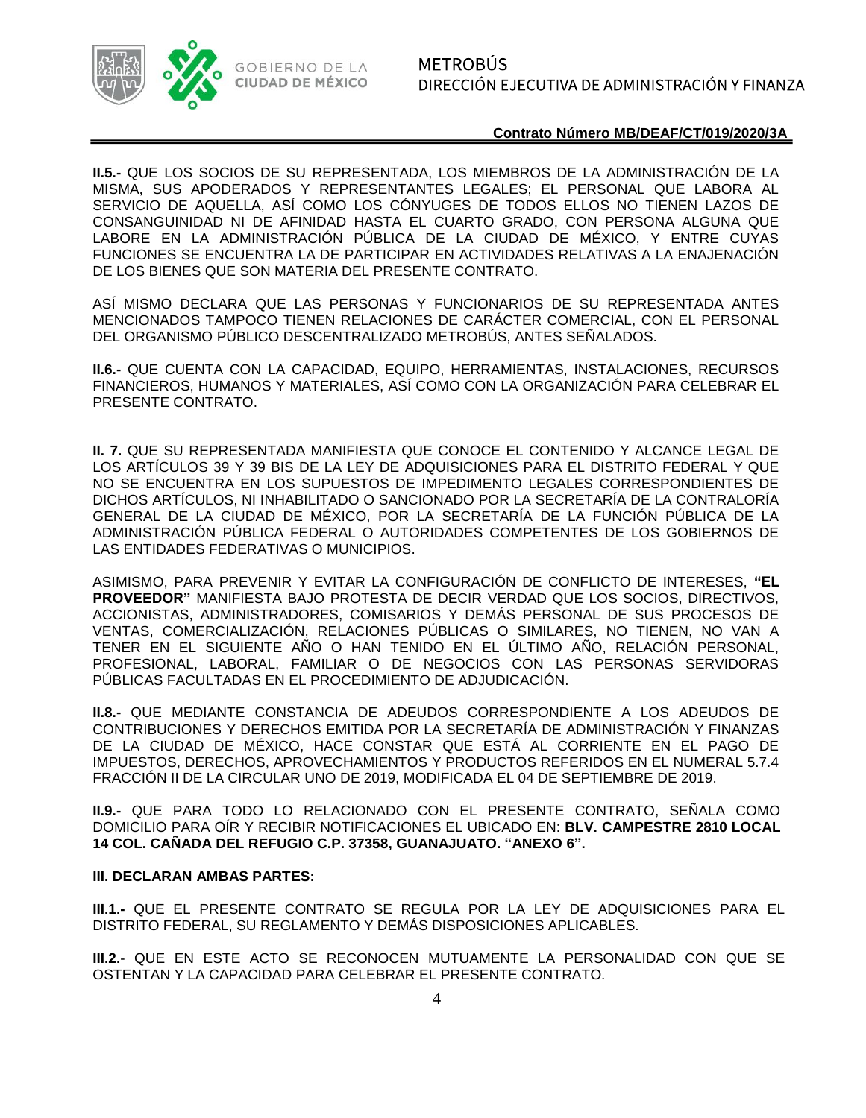

**II.5.-** QUE LOS SOCIOS DE SU REPRESENTADA, LOS MIEMBROS DE LA ADMINISTRACIÓN DE LA MISMA, SUS APODERADOS Y REPRESENTANTES LEGALES; EL PERSONAL QUE LABORA AL SERVICIO DE AQUELLA, ASÍ COMO LOS CÓNYUGES DE TODOS ELLOS NO TIENEN LAZOS DE CONSANGUINIDAD NI DE AFINIDAD HASTA EL CUARTO GRADO, CON PERSONA ALGUNA QUE LABORE EN LA ADMINISTRACIÓN PÚBLICA DE LA CIUDAD DE MÉXICO, Y ENTRE CUYAS FUNCIONES SE ENCUENTRA LA DE PARTICIPAR EN ACTIVIDADES RELATIVAS A LA ENAJENACIÓN DE LOS BIENES QUE SON MATERIA DEL PRESENTE CONTRATO.

ASÍ MISMO DECLARA QUE LAS PERSONAS Y FUNCIONARIOS DE SU REPRESENTADA ANTES MENCIONADOS TAMPOCO TIENEN RELACIONES DE CARÁCTER COMERCIAL, CON EL PERSONAL DEL ORGANISMO PÚBLICO DESCENTRALIZADO METROBÚS, ANTES SEÑALADOS.

**II.6.-** QUE CUENTA CON LA CAPACIDAD, EQUIPO, HERRAMIENTAS, INSTALACIONES, RECURSOS FINANCIEROS, HUMANOS Y MATERIALES, ASÍ COMO CON LA ORGANIZACIÓN PARA CELEBRAR EL PRESENTE CONTRATO.

**II. 7.** QUE SU REPRESENTADA MANIFIESTA QUE CONOCE EL CONTENIDO Y ALCANCE LEGAL DE LOS ARTÍCULOS 39 Y 39 BIS DE LA LEY DE ADQUISICIONES PARA EL DISTRITO FEDERAL Y QUE NO SE ENCUENTRA EN LOS SUPUESTOS DE IMPEDIMENTO LEGALES CORRESPONDIENTES DE DICHOS ARTÍCULOS, NI INHABILITADO O SANCIONADO POR LA SECRETARÍA DE LA CONTRALORÍA GENERAL DE LA CIUDAD DE MÉXICO, POR LA SECRETARÍA DE LA FUNCIÓN PÚBLICA DE LA ADMINISTRACIÓN PÚBLICA FEDERAL O AUTORIDADES COMPETENTES DE LOS GOBIERNOS DE LAS ENTIDADES FEDERATIVAS O MUNICIPIOS.

ASIMISMO, PARA PREVENIR Y EVITAR LA CONFIGURACIÓN DE CONFLICTO DE INTERESES, **"EL PROVEEDOR"** MANIFIESTA BAJO PROTESTA DE DECIR VERDAD QUE LOS SOCIOS, DIRECTIVOS, ACCIONISTAS, ADMINISTRADORES, COMISARIOS Y DEMÁS PERSONAL DE SUS PROCESOS DE VENTAS, COMERCIALIZACIÓN, RELACIONES PÚBLICAS O SIMILARES, NO TIENEN, NO VAN A TENER EN EL SIGUIENTE AÑO O HAN TENIDO EN EL ÚLTIMO AÑO, RELACIÓN PERSONAL, PROFESIONAL, LABORAL, FAMILIAR O DE NEGOCIOS CON LAS PERSONAS SERVIDORAS PÚBLICAS FACULTADAS EN EL PROCEDIMIENTO DE ADJUDICACIÓN.

**II.8.-** QUE MEDIANTE CONSTANCIA DE ADEUDOS CORRESPONDIENTE A LOS ADEUDOS DE CONTRIBUCIONES Y DERECHOS EMITIDA POR LA SECRETARÍA DE ADMINISTRACIÓN Y FINANZAS DE LA CIUDAD DE MÉXICO, HACE CONSTAR QUE ESTÁ AL CORRIENTE EN EL PAGO DE IMPUESTOS, DERECHOS, APROVECHAMIENTOS Y PRODUCTOS REFERIDOS EN EL NUMERAL 5.7.4 FRACCIÓN II DE LA CIRCULAR UNO DE 2019, MODIFICADA EL 04 DE SEPTIEMBRE DE 2019.

**II.9.-** QUE PARA TODO LO RELACIONADO CON EL PRESENTE CONTRATO, SEÑALA COMO DOMICILIO PARA OÍR Y RECIBIR NOTIFICACIONES EL UBICADO EN: **BLV. CAMPESTRE 2810 LOCAL 14 COL. CAÑADA DEL REFUGIO C.P. 37358, GUANAJUATO. "ANEXO 6".**

#### **III. DECLARAN AMBAS PARTES:**

**III.1.-** QUE EL PRESENTE CONTRATO SE REGULA POR LA LEY DE ADQUISICIONES PARA EL DISTRITO FEDERAL, SU REGLAMENTO Y DEMÁS DISPOSICIONES APLICABLES.

**III.2.**- QUE EN ESTE ACTO SE RECONOCEN MUTUAMENTE LA PERSONALIDAD CON QUE SE OSTENTAN Y LA CAPACIDAD PARA CELEBRAR EL PRESENTE CONTRATO.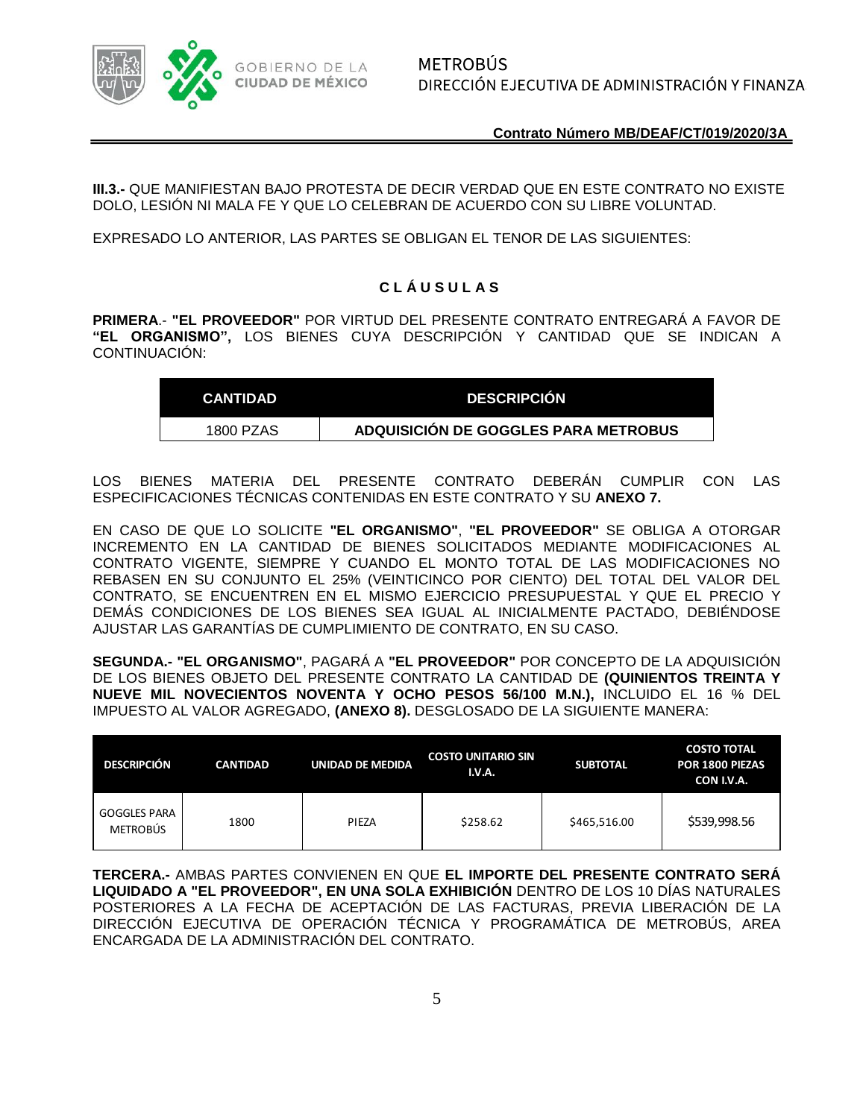

**III.3.-** QUE MANIFIESTAN BAJO PROTESTA DE DECIR VERDAD QUE EN ESTE CONTRATO NO EXISTE DOLO, LESIÓN NI MALA FE Y QUE LO CELEBRAN DE ACUERDO CON SU LIBRE VOLUNTAD.

EXPRESADO LO ANTERIOR, LAS PARTES SE OBLIGAN EL TENOR DE LAS SIGUIENTES:

## **C L Á U S U L A S**

**PRIMERA**.- **"EL PROVEEDOR"** POR VIRTUD DEL PRESENTE CONTRATO ENTREGARÁ A FAVOR DE **"EL ORGANISMO",** LOS BIENES CUYA DESCRIPCIÓN Y CANTIDAD QUE SE INDICAN A CONTINUACIÓN:

| <b>CANTIDAD</b> | <b>DESCRIPCION</b>                   |
|-----------------|--------------------------------------|
| 1800 PZAS       | ADQUISICIÓN DE GOGGLES PARA METROBUS |

LOS BIENES MATERIA DEL PRESENTE CONTRATO DEBERÁN CUMPLIR CON LAS ESPECIFICACIONES TÉCNICAS CONTENIDAS EN ESTE CONTRATO Y SU **ANEXO 7.**

EN CASO DE QUE LO SOLICITE **"EL ORGANISMO"**, **"EL PROVEEDOR"** SE OBLIGA A OTORGAR INCREMENTO EN LA CANTIDAD DE BIENES SOLICITADOS MEDIANTE MODIFICACIONES AL CONTRATO VIGENTE, SIEMPRE Y CUANDO EL MONTO TOTAL DE LAS MODIFICACIONES NO REBASEN EN SU CONJUNTO EL 25% (VEINTICINCO POR CIENTO) DEL TOTAL DEL VALOR DEL CONTRATO, SE ENCUENTREN EN EL MISMO EJERCICIO PRESUPUESTAL Y QUE EL PRECIO Y DEMÁS CONDICIONES DE LOS BIENES SEA IGUAL AL INICIALMENTE PACTADO, DEBIÉNDOSE AJUSTAR LAS GARANTÍAS DE CUMPLIMIENTO DE CONTRATO, EN SU CASO.

**SEGUNDA.- "EL ORGANISMO"**, PAGARÁ A **"EL PROVEEDOR"** POR CONCEPTO DE LA ADQUISICIÓN DE LOS BIENES OBJETO DEL PRESENTE CONTRATO LA CANTIDAD DE **(QUINIENTOS TREINTA Y NUEVE MIL NOVECIENTOS NOVENTA Y OCHO PESOS 56/100 M.N.),** INCLUIDO EL 16 % DEL IMPUESTO AL VALOR AGREGADO, **(ANEXO 8).** DESGLOSADO DE LA SIGUIENTE MANERA:

| <b>DESCRIPCIÓN</b>                     | <b>CANTIDAD</b> | UNIDAD DE MEDIDA | <b>COSTO UNITARIO SIN</b><br>I.V.A. | <b>SUBTOTAL</b> | <b>COSTO TOTAL</b><br><b>POR 1800 PIEZAS</b><br>CON I.V.A. |
|----------------------------------------|-----------------|------------------|-------------------------------------|-----------------|------------------------------------------------------------|
| <b>GOGGLES PARA</b><br><b>METROBÚS</b> | 1800            | PIEZA            | \$258.62                            | \$465,516.00    | \$539,998.56                                               |

**TERCERA.-** AMBAS PARTES CONVIENEN EN QUE **EL IMPORTE DEL PRESENTE CONTRATO SERÁ LIQUIDADO A "EL PROVEEDOR", EN UNA SOLA EXHIBICIÓN** DENTRO DE LOS 10 DÍAS NATURALES POSTERIORES A LA FECHA DE ACEPTACIÓN DE LAS FACTURAS, PREVIA LIBERACIÓN DE LA DIRECCIÓN EJECUTIVA DE OPERACIÓN TÉCNICA Y PROGRAMÁTICA DE METROBÚS, AREA ENCARGADA DE LA ADMINISTRACIÓN DEL CONTRATO.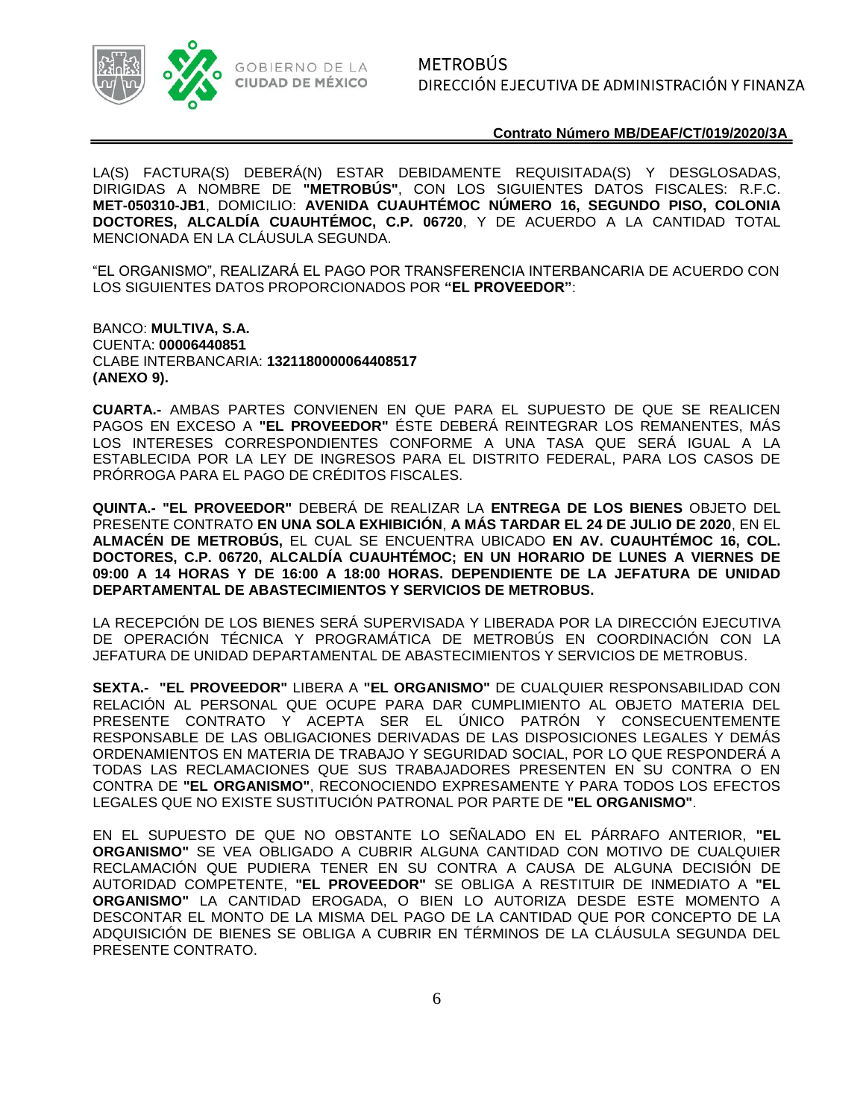

METROBÚS DIRECCIÓN EJECUTIVA DE ADMINISTRACIÓN Y FINANZA:

**Contrato Número MB/DEAF/CT/019/2020/3A**

LA(S) FACTURA(S) DEBERÁ(N) ESTAR DEBIDAMENTE REQUISITADA(S) Y DESGLOSADAS, DIRIGIDAS A NOMBRE DE **"METROBÚS"**, CON LOS SIGUIENTES DATOS FISCALES: R.F.C. **MET-050310-JB1**, DOMICILIO: **AVENIDA CUAUHTÉMOC NÚMERO 16, SEGUNDO PISO, COLONIA DOCTORES, ALCALDÍA CUAUHTÉMOC, C.P. 06720**, Y DE ACUERDO A LA CANTIDAD TOTAL MENCIONADA EN LA CLÁUSULA SEGUNDA.

"EL ORGANISMO", REALIZARÁ EL PAGO POR TRANSFERENCIA INTERBANCARIA DE ACUERDO CON LOS SIGUIENTES DATOS PROPORCIONADOS POR **"EL PROVEEDOR"**:

BANCO: **MULTIVA, S.A.** CUENTA: **00006440851** CLABE INTERBANCARIA: **1321180000064408517 (ANEXO 9).**

**CUARTA.-** AMBAS PARTES CONVIENEN EN QUE PARA EL SUPUESTO DE QUE SE REALICEN PAGOS EN EXCESO A **"EL PROVEEDOR"** ÉSTE DEBERÁ REINTEGRAR LOS REMANENTES, MÁS LOS INTERESES CORRESPONDIENTES CONFORME A UNA TASA QUE SERÁ IGUAL A LA ESTABLECIDA POR LA LEY DE INGRESOS PARA EL DISTRITO FEDERAL, PARA LOS CASOS DE PRÓRROGA PARA EL PAGO DE CRÉDITOS FISCALES.

**QUINTA.- "EL PROVEEDOR"** DEBERÁ DE REALIZAR LA **ENTREGA DE LOS BIENES** OBJETO DEL PRESENTE CONTRATO **EN UNA SOLA EXHIBICIÓN**, **A MÁS TARDAR EL 24 DE JULIO DE 2020**, EN EL **ALMACÉN DE METROBÚS,** EL CUAL SE ENCUENTRA UBICADO **EN AV. CUAUHTÉMOC 16, COL. DOCTORES, C.P. 06720, ALCALDÍA CUAUHTÉMOC; EN UN HORARIO DE LUNES A VIERNES DE 09:00 A 14 HORAS Y DE 16:00 A 18:00 HORAS. DEPENDIENTE DE LA JEFATURA DE UNIDAD DEPARTAMENTAL DE ABASTECIMIENTOS Y SERVICIOS DE METROBUS.**

LA RECEPCIÓN DE LOS BIENES SERÁ SUPERVISADA Y LIBERADA POR LA DIRECCIÓN EJECUTIVA DE OPERACIÓN TÉCNICA Y PROGRAMÁTICA DE METROBÚS EN COORDINACIÓN CON LA JEFATURA DE UNIDAD DEPARTAMENTAL DE ABASTECIMIENTOS Y SERVICIOS DE METROBUS.

**SEXTA.- "EL PROVEEDOR"** LIBERA A **"EL ORGANISMO"** DE CUALQUIER RESPONSABILIDAD CON RELACIÓN AL PERSONAL QUE OCUPE PARA DAR CUMPLIMIENTO AL OBJETO MATERIA DEL PRESENTE CONTRATO Y ACEPTA SER EL ÚNICO PATRÓN Y CONSECUENTEMENTE RESPONSABLE DE LAS OBLIGACIONES DERIVADAS DE LAS DISPOSICIONES LEGALES Y DEMÁS ORDENAMIENTOS EN MATERIA DE TRABAJO Y SEGURIDAD SOCIAL, POR LO QUE RESPONDERÁ A TODAS LAS RECLAMACIONES QUE SUS TRABAJADORES PRESENTEN EN SU CONTRA O EN CONTRA DE **"EL ORGANISMO"**, RECONOCIENDO EXPRESAMENTE Y PARA TODOS LOS EFECTOS LEGALES QUE NO EXISTE SUSTITUCIÓN PATRONAL POR PARTE DE **"EL ORGANISMO"**.

EN EL SUPUESTO DE QUE NO OBSTANTE LO SEÑALADO EN EL PÁRRAFO ANTERIOR, **"EL ORGANISMO"** SE VEA OBLIGADO A CUBRIR ALGUNA CANTIDAD CON MOTIVO DE CUALQUIER RECLAMACIÓN QUE PUDIERA TENER EN SU CONTRA A CAUSA DE ALGUNA DECISIÓN DE AUTORIDAD COMPETENTE, **"EL PROVEEDOR"** SE OBLIGA A RESTITUIR DE INMEDIATO A **"EL ORGANISMO"** LA CANTIDAD EROGADA, O BIEN LO AUTORIZA DESDE ESTE MOMENTO A DESCONTAR EL MONTO DE LA MISMA DEL PAGO DE LA CANTIDAD QUE POR CONCEPTO DE LA ADQUISICIÓN DE BIENES SE OBLIGA A CUBRIR EN TÉRMINOS DE LA CLÁUSULA SEGUNDA DEL PRESENTE CONTRATO.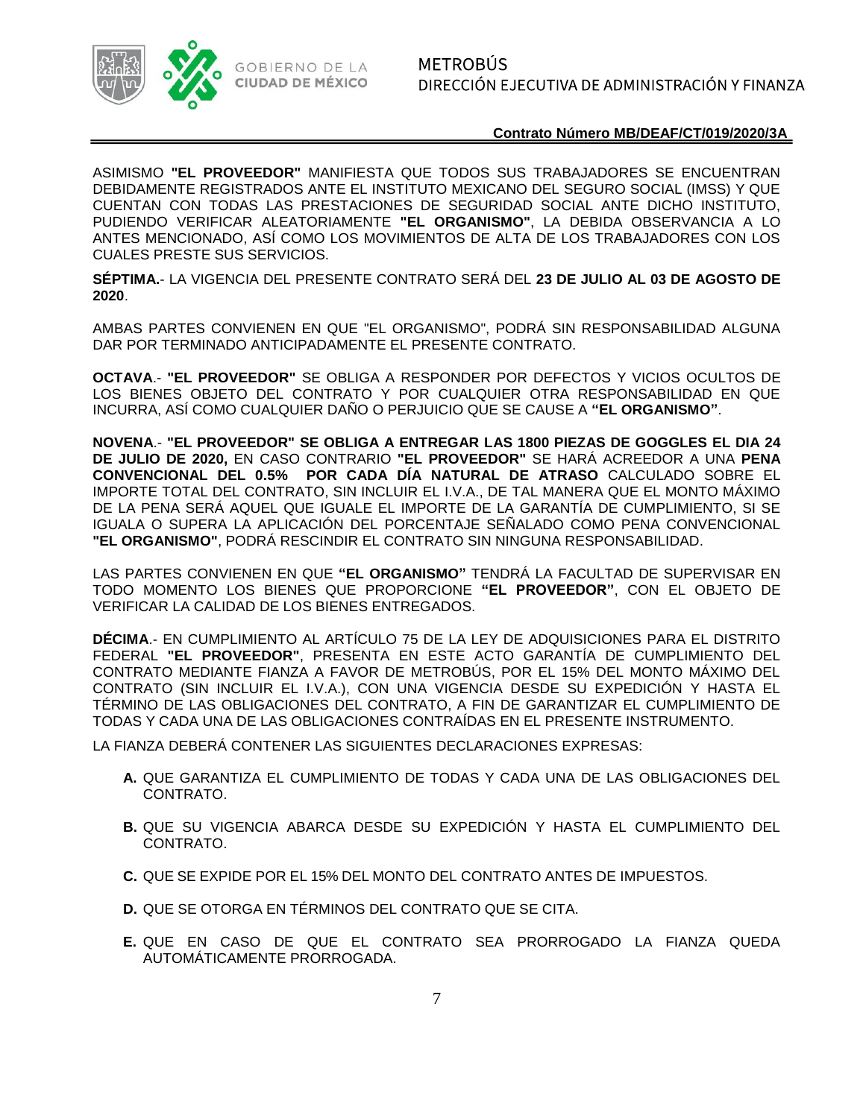

ASIMISMO **"EL PROVEEDOR"** MANIFIESTA QUE TODOS SUS TRABAJADORES SE ENCUENTRAN DEBIDAMENTE REGISTRADOS ANTE EL INSTITUTO MEXICANO DEL SEGURO SOCIAL (IMSS) Y QUE CUENTAN CON TODAS LAS PRESTACIONES DE SEGURIDAD SOCIAL ANTE DICHO INSTITUTO, PUDIENDO VERIFICAR ALEATORIAMENTE **"EL ORGANISMO"**, LA DEBIDA OBSERVANCIA A LO ANTES MENCIONADO, ASÍ COMO LOS MOVIMIENTOS DE ALTA DE LOS TRABAJADORES CON LOS CUALES PRESTE SUS SERVICIOS.

**SÉPTIMA.**- LA VIGENCIA DEL PRESENTE CONTRATO SERÁ DEL **23 DE JULIO AL 03 DE AGOSTO DE 2020**.

AMBAS PARTES CONVIENEN EN QUE "EL ORGANISMO", PODRÁ SIN RESPONSABILIDAD ALGUNA DAR POR TERMINADO ANTICIPADAMENTE EL PRESENTE CONTRATO.

**OCTAVA**.- **"EL PROVEEDOR"** SE OBLIGA A RESPONDER POR DEFECTOS Y VICIOS OCULTOS DE LOS BIENES OBJETO DEL CONTRATO Y POR CUALQUIER OTRA RESPONSABILIDAD EN QUE INCURRA, ASÍ COMO CUALQUIER DAÑO O PERJUICIO QUE SE CAUSE A **"EL ORGANISMO"**.

**NOVENA**.- **"EL PROVEEDOR" SE OBLIGA A ENTREGAR LAS 1800 PIEZAS DE GOGGLES EL DIA 24 DE JULIO DE 2020,** EN CASO CONTRARIO **"EL PROVEEDOR"** SE HARÁ ACREEDOR A UNA **PENA CONVENCIONAL DEL 0.5% POR CADA DÍA NATURAL DE ATRASO** CALCULADO SOBRE EL IMPORTE TOTAL DEL CONTRATO, SIN INCLUIR EL I.V.A., DE TAL MANERA QUE EL MONTO MÁXIMO DE LA PENA SERÁ AQUEL QUE IGUALE EL IMPORTE DE LA GARANTÍA DE CUMPLIMIENTO, SI SE IGUALA O SUPERA LA APLICACIÓN DEL PORCENTAJE SEÑALADO COMO PENA CONVENCIONAL **"EL ORGANISMO"**, PODRÁ RESCINDIR EL CONTRATO SIN NINGUNA RESPONSABILIDAD.

LAS PARTES CONVIENEN EN QUE **"EL ORGANISMO"** TENDRÁ LA FACULTAD DE SUPERVISAR EN TODO MOMENTO LOS BIENES QUE PROPORCIONE **"EL PROVEEDOR"**, CON EL OBJETO DE VERIFICAR LA CALIDAD DE LOS BIENES ENTREGADOS.

**DÉCIMA**.- EN CUMPLIMIENTO AL ARTÍCULO 75 DE LA LEY DE ADQUISICIONES PARA EL DISTRITO FEDERAL **"EL PROVEEDOR"**, PRESENTA EN ESTE ACTO GARANTÍA DE CUMPLIMIENTO DEL CONTRATO MEDIANTE FIANZA A FAVOR DE METROBÚS, POR EL 15% DEL MONTO MÁXIMO DEL CONTRATO (SIN INCLUIR EL I.V.A.), CON UNA VIGENCIA DESDE SU EXPEDICIÓN Y HASTA EL TÉRMINO DE LAS OBLIGACIONES DEL CONTRATO, A FIN DE GARANTIZAR EL CUMPLIMIENTO DE TODAS Y CADA UNA DE LAS OBLIGACIONES CONTRAÍDAS EN EL PRESENTE INSTRUMENTO.

LA FIANZA DEBERÁ CONTENER LAS SIGUIENTES DECLARACIONES EXPRESAS:

- **A.** QUE GARANTIZA EL CUMPLIMIENTO DE TODAS Y CADA UNA DE LAS OBLIGACIONES DEL CONTRATO.
- **B.** QUE SU VIGENCIA ABARCA DESDE SU EXPEDICIÓN Y HASTA EL CUMPLIMIENTO DEL CONTRATO.
- **C.** QUE SE EXPIDE POR EL 15% DEL MONTO DEL CONTRATO ANTES DE IMPUESTOS.
- **D.** QUE SE OTORGA EN TÉRMINOS DEL CONTRATO QUE SE CITA.
- **E.** QUE EN CASO DE QUE EL CONTRATO SEA PRORROGADO LA FIANZA QUEDA AUTOMÁTICAMENTE PRORROGADA.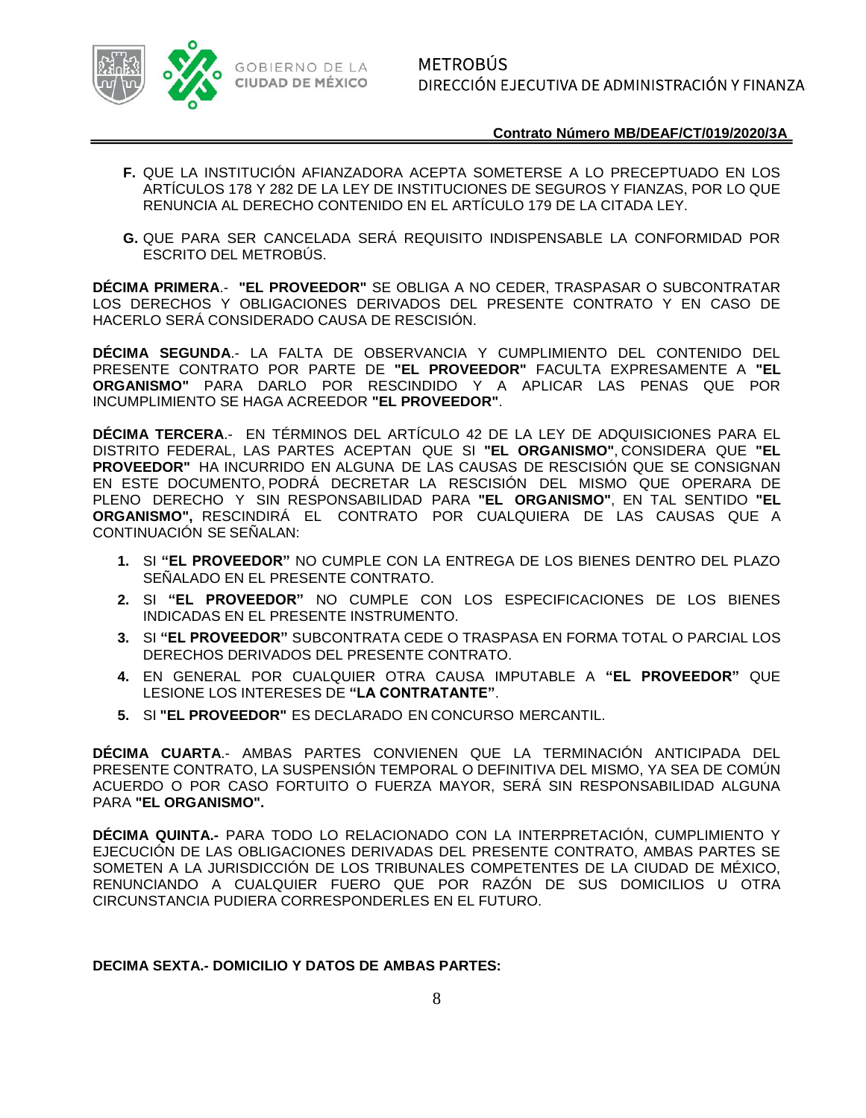

- **F.** QUE LA INSTITUCIÓN AFIANZADORA ACEPTA SOMETERSE A LO PRECEPTUADO EN LOS ARTÍCULOS 178 Y 282 DE LA LEY DE INSTITUCIONES DE SEGUROS Y FIANZAS, POR LO QUE RENUNCIA AL DERECHO CONTENIDO EN EL ARTÍCULO 179 DE LA CITADA LEY.
- **G.** QUE PARA SER CANCELADA SERÁ REQUISITO INDISPENSABLE LA CONFORMIDAD POR ESCRITO DEL METROBÚS.

**DÉCIMA PRIMERA**.- **"EL PROVEEDOR"** SE OBLIGA A NO CEDER, TRASPASAR O SUBCONTRATAR LOS DERECHOS Y OBLIGACIONES DERIVADOS DEL PRESENTE CONTRATO Y EN CASO DE HACERLO SERÁ CONSIDERADO CAUSA DE RESCISIÓN.

**DÉCIMA SEGUNDA**.- LA FALTA DE OBSERVANCIA Y CUMPLIMIENTO DEL CONTENIDO DEL PRESENTE CONTRATO POR PARTE DE **"EL PROVEEDOR"** FACULTA EXPRESAMENTE A **"EL ORGANISMO"** PARA DARLO POR RESCINDIDO Y A APLICAR LAS PENAS QUE POR INCUMPLIMIENTO SE HAGA ACREEDOR **"EL PROVEEDOR"**.

**DÉCIMA TERCERA**.- EN TÉRMINOS DEL ARTÍCULO 42 DE LA LEY DE ADQUISICIONES PARA EL DISTRITO FEDERAL, LAS PARTES ACEPTAN QUE SI **"EL ORGANISMO"**, CONSIDERA QUE **"EL PROVEEDOR"** HA INCURRIDO EN ALGUNA DE LAS CAUSAS DE RESCISIÓN QUE SE CONSIGNAN EN ESTE DOCUMENTO, PODRÁ DECRETAR LA RESCISIÓN DEL MISMO QUE OPERARA DE PLENO DERECHO Y SIN RESPONSABILIDAD PARA **"EL ORGANISMO"**, EN TAL SENTIDO **"EL ORGANISMO",** RESCINDIRÁ EL CONTRATO POR CUALQUIERA DE LAS CAUSAS QUE A CONTINUACIÓN SE SEÑALAN:

- **1.** SI **"EL PROVEEDOR"** NO CUMPLE CON LA ENTREGA DE LOS BIENES DENTRO DEL PLAZO SEÑALADO EN EL PRESENTE CONTRATO.
- **2.** SI **"EL PROVEEDOR"** NO CUMPLE CON LOS ESPECIFICACIONES DE LOS BIENES INDICADAS EN EL PRESENTE INSTRUMENTO.
- **3.** SI **"EL PROVEEDOR"** SUBCONTRATA CEDE O TRASPASA EN FORMA TOTAL O PARCIAL LOS DERECHOS DERIVADOS DEL PRESENTE CONTRATO.
- **4.** EN GENERAL POR CUALQUIER OTRA CAUSA IMPUTABLE A **"EL PROVEEDOR"** QUE LESIONE LOS INTERESES DE **"LA CONTRATANTE"**.
- **5.** SI **"EL PROVEEDOR"** ES DECLARADO EN CONCURSO MERCANTIL.

**DÉCIMA CUARTA**.- AMBAS PARTES CONVIENEN QUE LA TERMINACIÓN ANTICIPADA DEL PRESENTE CONTRATO, LA SUSPENSIÓN TEMPORAL O DEFINITIVA DEL MISMO, YA SEA DE COMÚN ACUERDO O POR CASO FORTUITO O FUERZA MAYOR, SERÁ SIN RESPONSABILIDAD ALGUNA PARA **"EL ORGANISMO".**

**DÉCIMA QUINTA.-** PARA TODO LO RELACIONADO CON LA INTERPRETACIÓN, CUMPLIMIENTO Y EJECUCIÓN DE LAS OBLIGACIONES DERIVADAS DEL PRESENTE CONTRATO, AMBAS PARTES SE SOMETEN A LA JURISDICCIÓN DE LOS TRIBUNALES COMPETENTES DE LA CIUDAD DE MÉXICO, RENUNCIANDO A CUALQUIER FUERO QUE POR RAZÓN DE SUS DOMICILIOS U OTRA CIRCUNSTANCIA PUDIERA CORRESPONDERLES EN EL FUTURO.

## **DECIMA SEXTA.- DOMICILIO Y DATOS DE AMBAS PARTES:**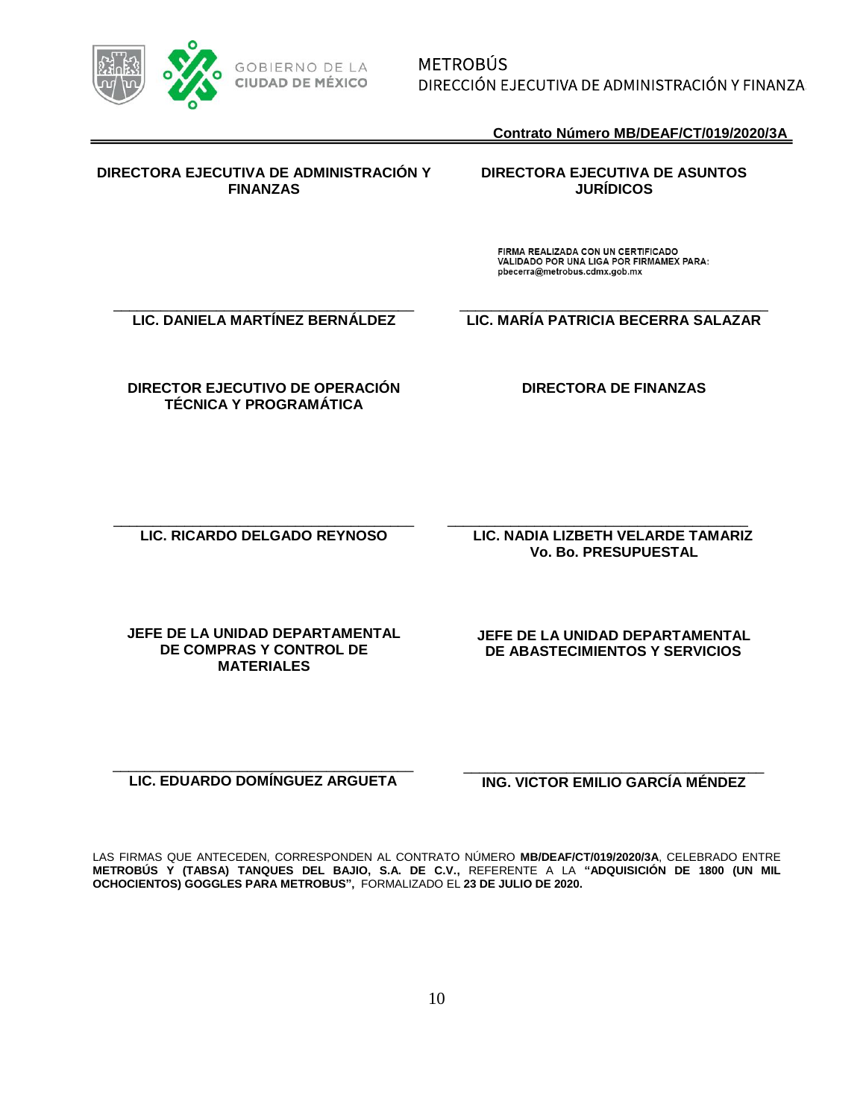

**METROBÚS** DIRECCIÓN EJECUTIVA DE ADMINISTRACIÓN Y FINANZA:

**Contrato Número MB/DEAF/CT/019/2020/3A**

## **DIRECTORA EJECUTIVA DE ADMINISTRACIÓN Y FINANZAS**

## **DIRECTORA EJECUTIVA DE ASUNTOS JURÍDICOS**

FIRMA REALIZADA CON UN CERTIFICADO VALIDADO POR UNA LIGA POR FIRMAMEX PARA: pbecerra@metrobus.cdmx.gob.mx

\_\_\_\_\_\_\_\_\_\_\_\_\_\_\_\_\_\_\_\_\_\_\_\_\_\_\_\_\_\_\_\_\_\_\_\_\_\_ **LIC. DANIELA MARTÍNEZ BERNÁLDEZ**

\_\_\_\_\_\_\_\_\_\_\_\_\_\_\_\_\_\_\_\_\_\_\_\_\_\_\_\_\_\_\_\_\_\_\_\_\_\_\_ **LIC. MARÍA PATRICIA BECERRA SALAZAR**

**DIRECTOR EJECUTIVO DE OPERACIÓN TÉCNICA Y PROGRAMÁTICA**

**DIRECTORA DE FINANZAS** 

\_\_\_\_\_\_\_\_\_\_\_\_\_\_\_\_\_\_\_\_\_\_\_\_\_\_\_\_\_\_\_\_\_\_\_\_\_\_ **LIC. RICARDO DELGADO REYNOSO**

\_\_\_\_\_\_\_\_\_\_\_\_\_\_\_\_\_\_\_\_\_\_\_\_\_\_\_\_\_\_\_\_\_\_\_\_\_\_ **LIC. NADIA LIZBETH VELARDE TAMARIZ Vo. Bo. PRESUPUESTAL**

**JEFE DE LA UNIDAD DEPARTAMENTAL DE COMPRAS Y CONTROL DE MATERIALES** 

**JEFE DE LA UNIDAD DEPARTAMENTAL DE ABASTECIMIENTOS Y SERVICIOS**

\_\_\_\_\_\_\_\_\_\_\_\_\_\_\_\_\_\_\_\_\_\_\_\_\_\_\_\_\_\_\_\_\_\_\_\_\_\_ **LIC. EDUARDO DOMÍNGUEZ ARGUETA**

\_\_\_\_\_\_\_\_\_\_\_\_\_\_\_\_\_\_\_\_\_\_\_\_\_\_\_\_\_\_\_\_\_\_\_\_\_\_ **ING. VICTOR EMILIO GARCÍA MÉNDEZ** 

LAS FIRMAS QUE ANTECEDEN, CORRESPONDEN AL CONTRATO NÚMERO **MB/DEAF/CT/019/2020/3A**, CELEBRADO ENTRE **METROBÚS Y (TABSA) TANQUES DEL BAJIO, S.A. DE C.V.,** REFERENTE A LA **"ADQUISICIÓN DE 1800 (UN MIL OCHOCIENTOS) GOGGLES PARA METROBUS",** FORMALIZADO EL **23 DE JULIO DE 2020.**